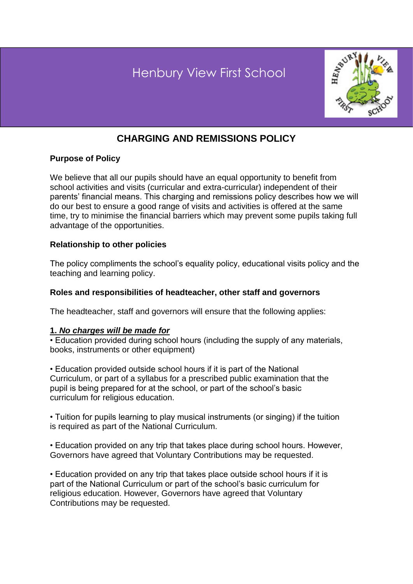# **Bearwood Primary View First School**



# **CHARGING AND REMISSIONS POLICY**

# **Purpose of Policy**

We believe that all our pupils should have an equal opportunity to benefit from school activities and visits (curricular and extra-curricular) independent of their parents' financial means. This charging and remissions policy describes how we will do our best to ensure a good range of visits and activities is offered at the same time, try to minimise the financial barriers which may prevent some pupils taking full advantage of the opportunities.

# **Relationship to other policies**

The policy compliments the school's equality policy, educational visits policy and the teaching and learning policy.

### **Roles and responsibilities of headteacher, other staff and governors**

The headteacher, staff and governors will ensure that the following applies:

#### **1.** *No charges will be made for*

• Education provided during school hours (including the supply of any materials, books, instruments or other equipment)

• Education provided outside school hours if it is part of the National Curriculum, or part of a syllabus for a prescribed public examination that the pupil is being prepared for at the school, or part of the school's basic curriculum for religious education.

• Tuition for pupils learning to play musical instruments (or singing) if the tuition is required as part of the National Curriculum.

• Education provided on any trip that takes place during school hours. However, Governors have agreed that Voluntary Contributions may be requested.

• Education provided on any trip that takes place outside school hours if it is part of the National Curriculum or part of the school's basic curriculum for religious education. However, Governors have agreed that Voluntary Contributions may be requested.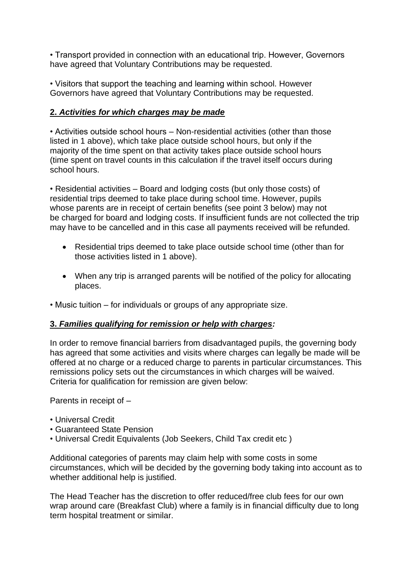• Transport provided in connection with an educational trip. However, Governors have agreed that Voluntary Contributions may be requested.

• Visitors that support the teaching and learning within school. However Governors have agreed that Voluntary Contributions may be requested.

# **2.** *Activities for which charges may be made*

• Activities outside school hours – Non-residential activities (other than those listed in 1 above), which take place outside school hours, but only if the majority of the time spent on that activity takes place outside school hours (time spent on travel counts in this calculation if the travel itself occurs during school hours.

• Residential activities – Board and lodging costs (but only those costs) of residential trips deemed to take place during school time. However, pupils whose parents are in receipt of certain benefits (see point 3 below) may not be charged for board and lodging costs. If insufficient funds are not collected the trip may have to be cancelled and in this case all payments received will be refunded.

- Residential trips deemed to take place outside school time (other than for those activities listed in 1 above).
- When any trip is arranged parents will be notified of the policy for allocating places.
- Music tuition for individuals or groups of any appropriate size.

#### **3.** *Families qualifying for remission or help with charges:*

In order to remove financial barriers from disadvantaged pupils, the governing body has agreed that some activities and visits where charges can legally be made will be offered at no charge or a reduced charge to parents in particular circumstances. This remissions policy sets out the circumstances in which charges will be waived. Criteria for qualification for remission are given below:

Parents in receipt of –

- Universal Credit
- Guaranteed State Pension
- Universal Credit Equivalents (Job Seekers, Child Tax credit etc )

Additional categories of parents may claim help with some costs in some circumstances, which will be decided by the governing body taking into account as to whether additional help is justified.

The Head Teacher has the discretion to offer reduced/free club fees for our own wrap around care (Breakfast Club) where a family is in financial difficulty due to long term hospital treatment or similar.